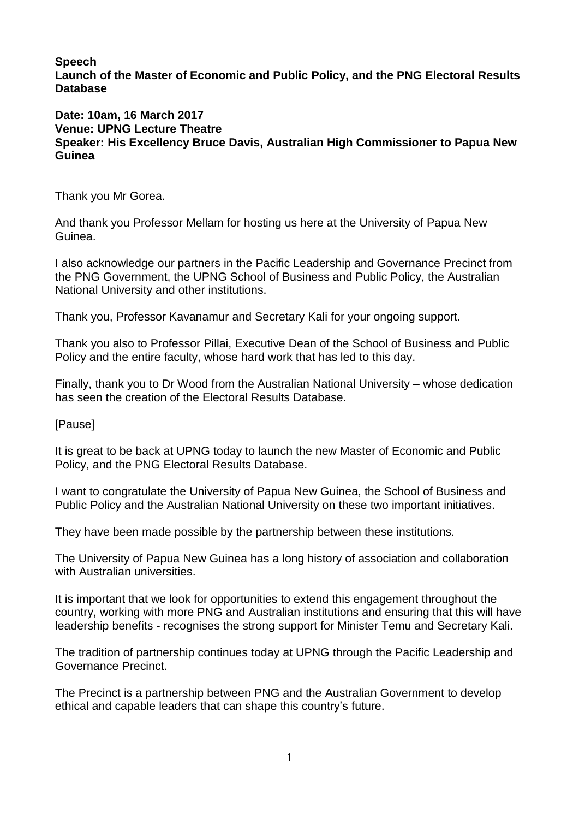**Speech**

**Launch of the Master of Economic and Public Policy, and the PNG Electoral Results Database**

## **Date: 10am, 16 March 2017 Venue: UPNG Lecture Theatre Speaker: His Excellency Bruce Davis, Australian High Commissioner to Papua New Guinea**

Thank you Mr Gorea.

And thank you Professor Mellam for hosting us here at the University of Papua New Guinea.

I also acknowledge our partners in the Pacific Leadership and Governance Precinct from the PNG Government, the UPNG School of Business and Public Policy, the Australian National University and other institutions.

Thank you, Professor Kavanamur and Secretary Kali for your ongoing support.

Thank you also to Professor Pillai, Executive Dean of the School of Business and Public Policy and the entire faculty, whose hard work that has led to this day.

Finally, thank you to Dr Wood from the Australian National University – whose dedication has seen the creation of the Electoral Results Database.

**[Pause]** 

It is great to be back at UPNG today to launch the new Master of Economic and Public Policy, and the PNG Electoral Results Database.

I want to congratulate the University of Papua New Guinea, the School of Business and Public Policy and the Australian National University on these two important initiatives.

They have been made possible by the partnership between these institutions.

The University of Papua New Guinea has a long history of association and collaboration with Australian universities.

It is important that we look for opportunities to extend this engagement throughout the country, working with more PNG and Australian institutions and ensuring that this will have leadership benefits - recognises the strong support for Minister Temu and Secretary Kali.

The tradition of partnership continues today at UPNG through the Pacific Leadership and Governance Precinct.

The Precinct is a partnership between PNG and the Australian Government to develop ethical and capable leaders that can shape this country's future.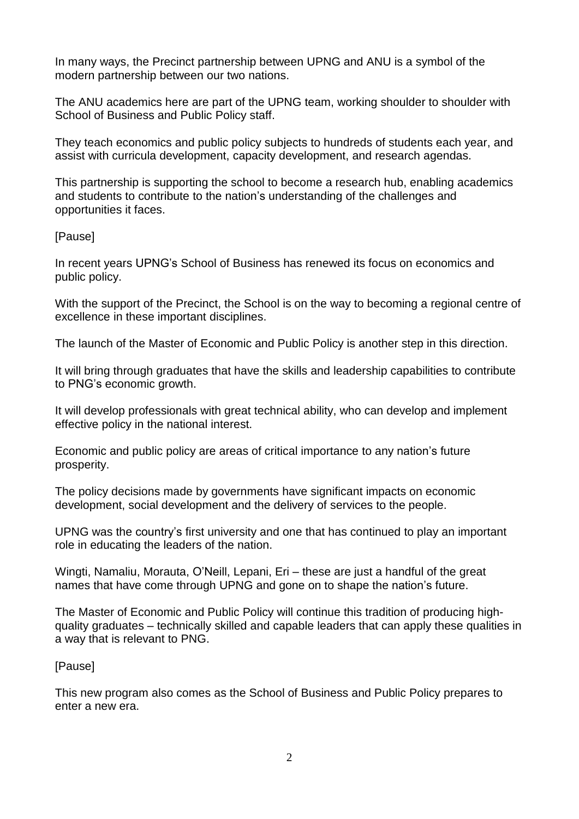In many ways, the Precinct partnership between UPNG and ANU is a symbol of the modern partnership between our two nations.

The ANU academics here are part of the UPNG team, working shoulder to shoulder with School of Business and Public Policy staff.

They teach economics and public policy subjects to hundreds of students each year, and assist with curricula development, capacity development, and research agendas.

This partnership is supporting the school to become a research hub, enabling academics and students to contribute to the nation's understanding of the challenges and opportunities it faces.

## [Pause]

In recent years UPNG's School of Business has renewed its focus on economics and public policy.

With the support of the Precinct, the School is on the way to becoming a regional centre of excellence in these important disciplines.

The launch of the Master of Economic and Public Policy is another step in this direction.

It will bring through graduates that have the skills and leadership capabilities to contribute to PNG's economic growth.

It will develop professionals with great technical ability, who can develop and implement effective policy in the national interest.

Economic and public policy are areas of critical importance to any nation's future prosperity.

The policy decisions made by governments have significant impacts on economic development, social development and the delivery of services to the people.

UPNG was the country's first university and one that has continued to play an important role in educating the leaders of the nation.

Wingti, Namaliu, Morauta, O'Neill, Lepani, Eri – these are just a handful of the great names that have come through UPNG and gone on to shape the nation's future.

The Master of Economic and Public Policy will continue this tradition of producing highquality graduates – technically skilled and capable leaders that can apply these qualities in a way that is relevant to PNG.

## [Pause]

This new program also comes as the School of Business and Public Policy prepares to enter a new era.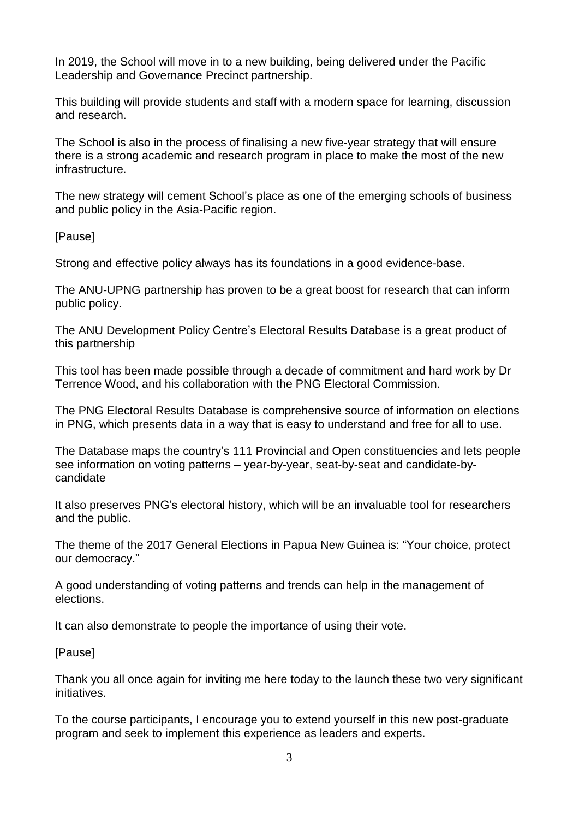In 2019, the School will move in to a new building, being delivered under the Pacific Leadership and Governance Precinct partnership.

This building will provide students and staff with a modern space for learning, discussion and research.

The School is also in the process of finalising a new five-year strategy that will ensure there is a strong academic and research program in place to make the most of the new infrastructure.

The new strategy will cement School's place as one of the emerging schools of business and public policy in the Asia-Pacific region.

[Pause]

Strong and effective policy always has its foundations in a good evidence-base.

The ANU-UPNG partnership has proven to be a great boost for research that can inform public policy.

The ANU Development Policy Centre's Electoral Results Database is a great product of this partnership

This tool has been made possible through a decade of commitment and hard work by Dr Terrence Wood, and his collaboration with the PNG Electoral Commission.

The PNG Electoral Results Database is comprehensive source of information on elections in PNG, which presents data in a way that is easy to understand and free for all to use.

The Database maps the country's 111 Provincial and Open constituencies and lets people see information on voting patterns – year-by-year, seat-by-seat and candidate-bycandidate

It also preserves PNG's electoral history, which will be an invaluable tool for researchers and the public.

The theme of the 2017 General Elections in Papua New Guinea is: "Your choice, protect our democracy."

A good understanding of voting patterns and trends can help in the management of elections.

It can also demonstrate to people the importance of using their vote.

[Pause]

Thank you all once again for inviting me here today to the launch these two very significant initiatives.

To the course participants, I encourage you to extend yourself in this new post-graduate program and seek to implement this experience as leaders and experts.